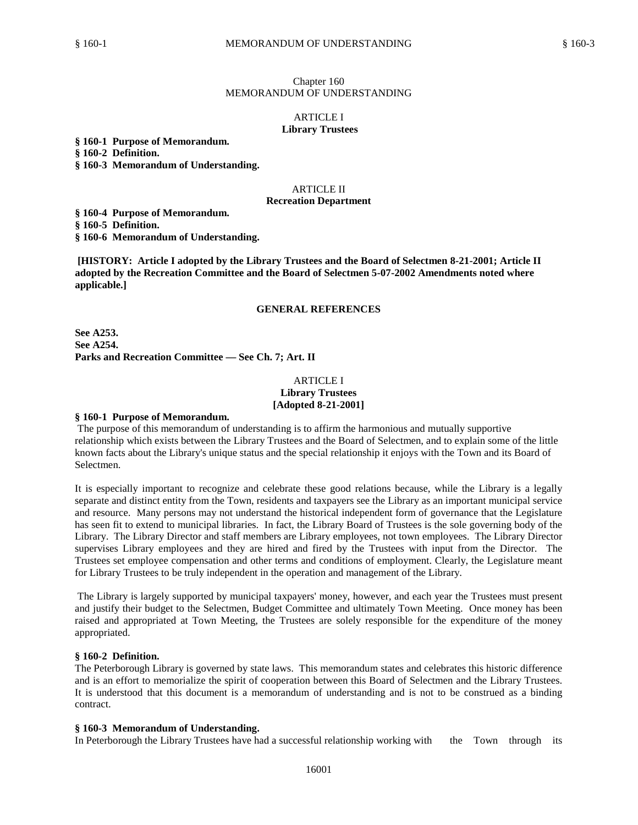### Chapter 160 MEMORANDUM OF UNDERSTANDING

### **ARTICLE I Library Trustees**

**§ 160-1 Purpose of Memorandum.**

**§ 160-2 Definition.** 

**§ 160-3 Memorandum of Understanding.**

#### ARTICLE II

#### **Recreation Department**

**§ 160-4 Purpose of Memorandum.**

**§ 160-5 Definition.**

**§ 160-6 Memorandum of Understanding.**

**[HISTORY: Article I adopted by the Library Trustees and the Board of Selectmen 8-21-2001; Article II adopted by the Recreation Committee and the Board of Selectmen 5-07-2002 Amendments noted where applicable.]**

### **GENERAL REFERENCES**

**See A253. See A254. Parks and Recreation Committee — See Ch. 7; Art. II**

## ARTICLE I **Library Trustees [Adopted 8-21-2001]**

#### **§ 160-1 Purpose of Memorandum.**

The purpose of this memorandum of understanding is to affirm the harmonious and mutually supportive relationship which exists between the Library Trustees and the Board of Selectmen, and to explain some of the little known facts about the Library's unique status and the special relationship it enjoys with the Town and its Board of Selectmen.

It is especially important to recognize and celebrate these good relations because, while the Library is a legally separate and distinct entity from the Town, residents and taxpayers see the Library as an important municipal service and resource. Many persons may not understand the historical independent form of governance that the Legislature has seen fit to extend to municipal libraries. In fact, the Library Board of Trustees is the sole governing body of the Library. The Library Director and staff members are Library employees, not town employees. The Library Director supervises Library employees and they are hired and fired by the Trustees with input from the Director. The Trustees set employee compensation and other terms and conditions of employment. Clearly, the Legislature meant for Library Trustees to be truly independent in the operation and management of the Library.

The Library is largely supported by municipal taxpayers' money, however, and each year the Trustees must present and justify their budget to the Selectmen, Budget Committee and ultimately Town Meeting. Once money has been raised and appropriated at Town Meeting, the Trustees are solely responsible for the expenditure of the money appropriated.

### **§ 160-2 Definition.**

The Peterborough Library is governed by state laws. This memorandum states and celebrates this historic difference and is an effort to memorialize the spirit of cooperation between this Board of Selectmen and the Library Trustees. It is understood that this document is a memorandum of understanding and is not to be construed as a binding contract.

### **§ 160-3 Memorandum of Understanding.**

In Peterborough the Library Trustees have had a successful relationship working with the Town through its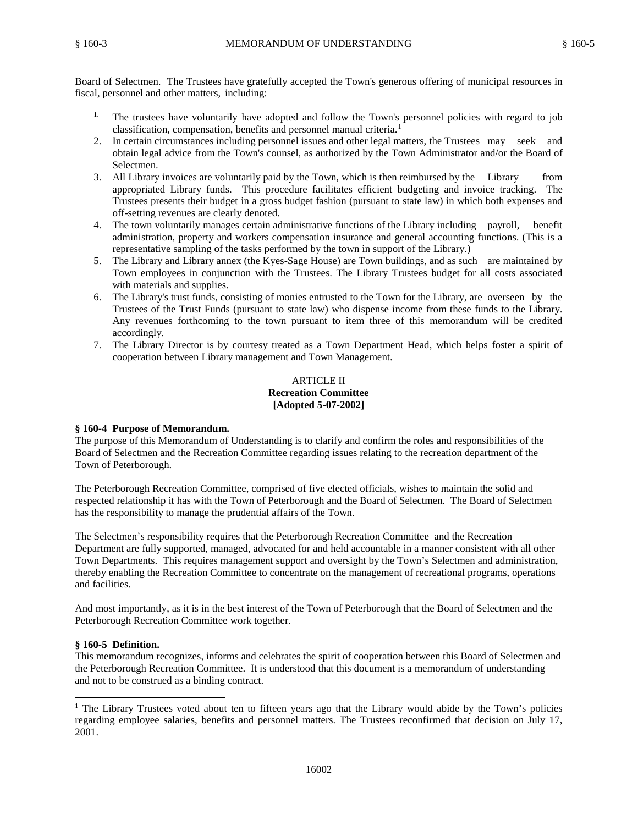Board of Selectmen. The Trustees have gratefully accepted the Town's generous offering of municipal resources in fiscal, personnel and other matters, including:

- <sup>1.</sup> The trustees have voluntarily have adopted and follow the Town's personnel policies with regard to job classification, compensation, benefits and personnel manual criteria.<sup>1</sup>
- 2. In certain circumstances including personnel issues and other legal matters, the Trustees may seek and obtain legal advice from the Town's counsel, as authorized by the Town Administrator and/or the Board of Selectmen.
- 3. All Library invoices are voluntarily paid by the Town, which is then reimbursed by the Library from appropriated Library funds. This procedure facilitates efficient budgeting and invoice tracking. The Trustees presents their budget in a gross budget fashion (pursuant to state law) in which both expenses and off-setting revenues are clearly denoted.
- 4. The town voluntarily manages certain administrative functions of the Library including payroll, benefit administration, property and workers compensation insurance and general accounting functions. (This is a representative sampling of the tasks performed by the town in support of the Library.)
- 5. The Library and Library annex (the Kyes-Sage House) are Town buildings, and as such are maintained by Town employees in conjunction with the Trustees. The Library Trustees budget for all costs associated with materials and supplies.
- 6. The Library's trust funds, consisting of monies entrusted to the Town for the Library, are overseen by the Trustees of the Trust Funds (pursuant to state law) who dispense income from these funds to the Library. Any revenues forthcoming to the town pursuant to item three of this memorandum will be credited accordingly.
- 7. The Library Director is by courtesy treated as a Town Department Head, which helps foster a spirit of cooperation between Library management and Town Management.

# ARTICLE II **Recreation Committee [Adopted 5-07-2002]**

# **§ 160-4 Purpose of Memorandum.**

The purpose of this Memorandum of Understanding is to clarify and confirm the roles and responsibilities of the Board of Selectmen and the Recreation Committee regarding issues relating to the recreation department of the Town of Peterborough.

The Peterborough Recreation Committee, comprised of five elected officials, wishes to maintain the solid and respected relationship it has with the Town of Peterborough and the Board of Selectmen. The Board of Selectmen has the responsibility to manage the prudential affairs of the Town.

The Selectmen's responsibility requires that the Peterborough Recreation Committee and the Recreation Department are fully supported, managed, advocated for and held accountable in a manner consistent with all other Town Departments. This requires management support and oversight by the Town's Selectmen and administration, thereby enabling the Recreation Committee to concentrate on the management of recreational programs, operations and facilities.

And most importantly, as it is in the best interest of the Town of Peterborough that the Board of Selectmen and the Peterborough Recreation Committee work together.

# **§ 160-5 Definition.**

This memorandum recognizes, informs and celebrates the spirit of cooperation between this Board of Selectmen and the Peterborough Recreation Committee. It is understood that this document is a memorandum of understanding and not to be construed as a binding contract.

<sup>&</sup>lt;sup>1</sup> The Library Trustees voted about ten to fifteen years ago that the Library would abide by the Town's policies regarding employee salaries, benefits and personnel matters. The Trustees reconfirmed that decision on July 17, 2001.